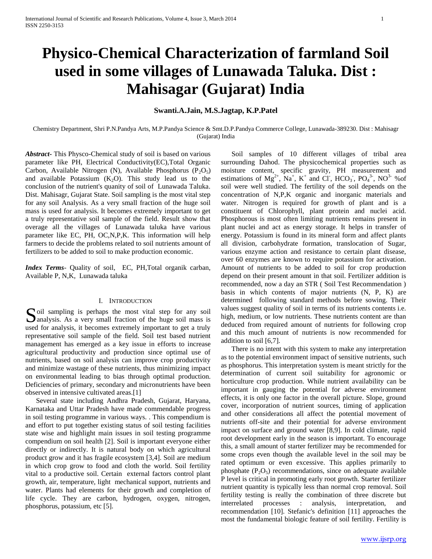# **Physico-Chemical Characterization of farmland Soil used in some villages of Lunawada Taluka. Dist : Mahisagar (Gujarat) India**

# **Swanti.A.Jain, M.S.Jagtap, K.P.Patel**

Chemistry Department, Shri P.N.Pandya Arts, M.P.Pandya Science & Smt.D.P.Pandya Commerce College, Lunawada-389230. Dist : Mahisagr (Gujarat) India

*Abstract***-** This Physco-Chemical study of soil is based on various parameter like PH, Electrical Conductivity(EC),Total Organic Carbon, Available Nitrogen (N), Available Phosphorus ( $P_2O_5$ ) and available Potassium  $(K_2O)$ . This study lead us to the conclusion of the nutrient's quanity of soil of Lunawada Taluka. Dist. Mahisagr, Gujarat State. Soil sampling is the most vital step for any soil Analysis. As a very small fraction of the huge soil mass is used for analysis. It becomes extremely important to get a truly representative soil sample of the field. Result show that overage all the villages of Lunawada taluka have various parameter like EC, PH, OC,N,P,K. This information will help farmers to decide the problems related to soil nutrients amount of fertilizers to be added to soil to make production economic.

*Index Terms*- Quality of soil, EC, PH,Total organik carban, Available P, N,K, Lunawada taluka

# I. INTRODUCTION

Soil sampling is perhaps the most vital step for any soil analysis. As a very small fraction of the huge soil mass is  $\Box$  analysis. As a very small fraction of the huge soil mass is used for analysis, it becomes extremely important to get a truly representative soil sample of the field. Soil test based nutrient management has emerged as a key issue in efforts to increase agricultural productivity and production since optimal use of nutrients, based on soil analysis can improve crop productivity and minimize wastage of these nutrients, thus minimizing impact on environmental leading to bias through optimal production. Deficiencies of primary, secondary and micronutrients have been observed in intensive cultivated areas.[1]

 Several state including Andhra Pradesh, Gujarat, Haryana, Karnataka and Uttar Pradesh have made commendable progress in soil testing programme in various ways. . This compendium is and effort to put together existing status of soil testing facilities state wise and highlight main issues in soil testing programme compendium on soil health [2]. Soil is important everyone either directly or indirectly. It is natural body on which agricultural product grow and it has fragile ecosystem [3,4]. Soil are medium in which crop grow to food and cloth the world. Soil fertility vital to a productive soil. Certain external factors control plant growth, air, temperature, light mechanical support, nutrients and water. Plants had elements for their growth and completion of life cycle. They are carbon, hydrogen, oxygen, nitrogen, phosphorus, potassium, etc [5].

 Soil samples of 10 different villages of tribal area surrounding Dahod. The physicochemical properties such as moisture content, specific gravity, PH measurement and estimations of  $Mg^{2+}$ ,  $Na^{+}$ ,  $K^{+}$  and Cl,  $HCO_3$ ,  $PO_4^{3-}$ ,  $NO^{3-}$  % of soil were well studied. The fertility of the soil depends on the concentration of N,P,K organic and inorganic materials and water. Nitrogen is required for growth of plant and is a constituent of Chlorophyll, plant protein and nuclei acid. Phosphorous is most often limiting nutrients remains present in plant nuclei and act as energy storage. It helps in transfer of energy. Potassium is found in its mineral form and affect plants all division, carbohydrate formation, translocation of Sugar, various enzyme action and resistance to certain plant disease, over 60 enzymes are known to require potassium for activation. Amount of nutrients to be added to soil for crop production depend on their present amount in that soil. Fertilizer addition is recommended, now a day an STR ( Soil Test Recommendation ) basis in which contents of major nutrients (N, P, K) are determined following standard methods before sowing. Their values suggest quality of soil in terms of its nutrients contents i.e. high, medium, or low nutrients. These nutrients content are than deduced from required amount of nutrients for following crop and this much amount of nutrients is now recommended for addition to soil [6,7].

 There is no intent with this system to make any interpretation as to the potential environment impact of sensitive nutrients, such as phosphorus. This interpretation system is meant strictly for the determination of current soil suitability for agronomic or horticulture crop production. While nutrient availability can be important in gauging the potential for adverse environment effects, it is only one factor in the overall picture. Slope, ground cover, incorporation of nutrient sources, timing of application and other considerations all affect the potential movement of nutrients off-site and their potential for adverse environment impact on surface and ground water [8,9]. In cold climate, rapid root development early in the season is important. To encourage this, a small amount of starter fertilizer may be recommended for some crops even though the available level in the soil may be rated optimum or even excessive. This applies primarily to phosphate  $(P_2O_5)$  recommendations, since on adequate available P level is critical in promoting early root growth. Starter fertilizer nutrient quantity is typically less than normal crop removal. Soil fertility testing is really the combination of three discrete but interrelated processes : analysis, interpretation, and recommendation [10]. Stefanic's definition [11] approaches the most the fundamental biologic feature of soil fertility. Fertility is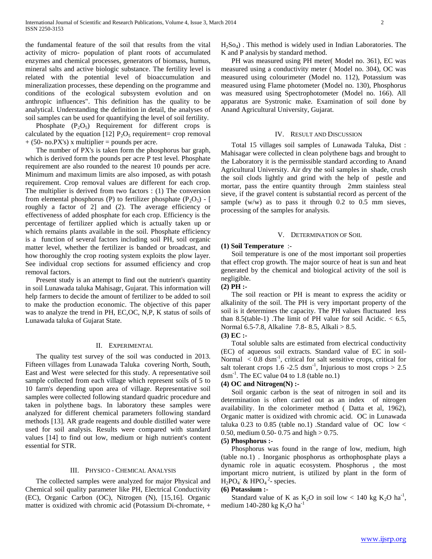the fundamental feature of the soil that results from the vital activity of micro- population of plant roots of accumulated enzymes and chemical processes, generators of biomass, humus, mineral salts and active biologic substance. The fertility level is related with the potential level of bioaccumulation and mineralization processes, these depending on the programme and conditions of the ecological subsystem evolution and on anthropic influences". This definition has the quality to be analytical. Understanding the definition in detail, the analyses of soil samples can be used for quantifying the level of soil fertility.

Phosphate  $(P_2O_5)$  Requirement for different crops is calculated by the equation [12]  $P_2O_5$  requirement= crop removal  $+$  (50- no.PX's) x multiplier = pounds per acre.

 The number of PX's is taken form the phosphorus bar graph, which is derived form the pounds per acre P test level. Phosphate requirement are also rounded to the nearest 10 pounds per acre. Minimum and maximum limits are also imposed, as with potash requirement. Crop removal values are different for each crop. The multiplier is derived from two factors : (1) The conversion from elemental phosphorus (P) to fertilizer phosphate  $(P_2O_5)$  - [ roughly a factor of 2] and (2). The average efficiency or effectiveness of added phosphate for each crop. Efficiency is the percentage of fertilizer applied which is actually taken up or which remains plants available in the soil. Phosphate efficiency is a function of several factors including soil PH, soil organic matter level, whether the fertilizer is banded or broadcast, and how thoroughly the crop rooting system exploits the plow layer. See individual crop sections for assumed efficiency and crop removal factors.

 Present study is an attempt to find out the nutrient's quantity in soil Lunawada taluka Mahisagr, Gujarat. This information will help farmers to decide the amount of fertilizer to be added to soil to make the production economic. The objective of this paper was to analyze the trend in PH, EC,OC, N,P, K status of soils of Lunawada taluka of Gujarat State.

# II. EXPERIMENTAL

 The quality test survey of the soil was conducted in 2013. Fifteen villages from Lunawada Taluka covering North, South, East and West were selected for this study. A representative soil sample collected from each village which represent soils of 5 to 10 farm's depending upon area of village. Representative soil samples were collected following standard quadric procedure and taken in polythene bags. In laboratory these samples were analyzed for different chemical parameters following standard methods [13]. AR grade reagents and double distilled water were used for soil analysis. Results were compared with standard values [14] to find out low, medium or high nutrient's content essential for STR.

## III. PHYSICO - CHEMICAL ANALYSIS

 The collected samples were analyzed for major Physical and Chemical soil quality parameter like PH, Electrical Conductivity (EC), Organic Carbon (OC), Nitrogen (N), [15,16]. Organic matter is oxidized with chromic acid (Potassium Di-chromate, +  $H<sub>2</sub>So<sub>4</sub>$ ). This method is widely used in Indian Laboratories. The K and P analysis by standard method.

 PH was measured using PH meter( Model no. 361), EC was measured using a conductivity meter ( Model no. 304), OC was measured using colourimeter (Model no. 112), Potassium was measured using Flame photometer (Model no. 130), Phosphorus was measured using Spectrophotometer (Model no. 166). All apparatus are Systronic make. Examination of soil done by Anand Agricultural University, Gujarat.

## IV. RESULT AND DISCUSSION

 Total 15 villages soil samples of Lunawada Taluka, Dist : Mahisagar were collected in clean polythene bags and brought to the Laboratory it is the permissible standard according to Anand Agricultural University. Air dry the soil samples in shade, crush the soil clods lightly and grind with the help of pestle and mortar, pass the entire quantity through 2mm stainless steal sieve, if the gravel content is substantial record as percent of the sample (w/w) as to pass it through 0.2 to 0.5 mm sieves, processing of the samples for analysis.

# V. DETERMINATION OF SOIL

# **(1) Soil Temperature** :-

 Soil temperature is one of the most important soil properties that effect crop growth. The major source of heat is sun and heat generated by the chemical and biological activity of the soil is negligible.

# **(2) PH :-**

 The soil reaction or PH is meant to express the acidity or alkalinity of the soil. The PH is very important property of the soil is it determines the capacity. The PH values fluctuated less than 8.5(table-1). The limit of PH value for soil Acidic.  $< 6.5$ , Normal 6.5-7.8, Alkaline 7.8- 8.5, Alkali > 8.5.

# **(3) EC :-**

 Total soluble salts are estimated from electrical conductivity (EC) of aqueous soil extracts. Standard value of EC in soil-Normal  $\langle 0.8 \text{ dsm}^{-1}$ , critical for salt sensitive crops, critical for salt tolerant crops 1.6 -2.5 dsm<sup>-1</sup>, Injurious to most crops  $> 2.5$ dsm-1 . The EC value 04 to 1.8 (table no.1)

## **(4) OC and Nitrogen(N) :-**

 Soil organic carbon is the seat of nitrogen in soil and its determination is often carried out as an index of nitrogen availability. In the colorimeter method ( Datta et al, 1962), Organic matter is oxidized with chromic acid. OC in Lunawada taluka 0.23 to 0.85 (table no.1) .Standard value of  $OC$  low  $\lt$ 0.50, medium 0.50- 0.75 and high  $> 0.75$ .

#### **(5) Phosphorus :-**

 Phosphorus was found in the range of low, medium, high (table no.1) . Inorganic phosphorus as orthophosphate plays a dynamic role in aquatic ecosystem. Phosphorus , the most important micro nutrient, is utilized by plant in the form of  $H_2PO_4$ <sup>2</sup> & HPO<sub>4</sub><sup>2</sup>- species.

## **(6) Potassium :-**

Standard value of K as  $K_2O$  in soil low < 140 kg  $K_2O$  ha<sup>-1</sup>, medium 140-280 kg  $K_2O$  ha<sup>-1</sup>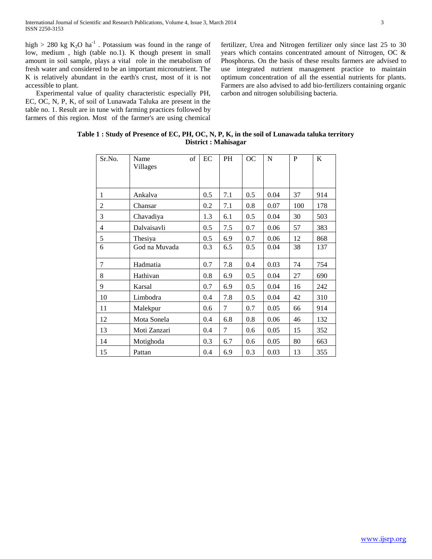high > 280 kg  $K_2O$  ha<sup>-1</sup>. Potassium was found in the range of low, medium , high (table no.1). K though present in small amount in soil sample, plays a vital role in the metabolism of fresh water and considered to be an important micronutrient. The K is relatively abundant in the earth's crust, most of it is not accessible to plant.

 Experimental value of quality characteristic especially PH, EC, OC, N, P, K, of soil of Lunawada Taluka are present in the table no. 1. Result are in tune with farming practices followed by farmers of this region. Most of the farmer's are using chemical fertilizer, Urea and Nitrogen fertilizer only since last 25 to 30 years which contains concentrated amount of Nitrogen, OC & Phosphorus. On the basis of these results farmers are advised to use integrated nutrient management practice to maintain optimum concentration of all the essential nutrients for plants. Farmers are also advised to add bio-fertilizers containing organic carbon and nitrogen solubilising bacteria.

| Sr.No.       | Name<br>Villages | of | EC  | <b>PH</b> | <b>OC</b> | N    | P   | K   |
|--------------|------------------|----|-----|-----------|-----------|------|-----|-----|
| $\mathbf{1}$ | Ankalva          |    | 0.5 | 7.1       | 0.5       | 0.04 | 37  | 914 |
| 2            | Chansar          |    | 0.2 | 7.1       | 0.8       | 0.07 | 100 | 178 |
| 3            | Chavadiya        |    | 1.3 | 6.1       | 0.5       | 0.04 | 30  | 503 |
| 4            | Dalvaisavli      |    | 0.5 | 7.5       | 0.7       | 0.06 | 57  | 383 |
| 5            | Thesiya          |    | 0.5 | 6.9       | 0.7       | 0.06 | 12  | 868 |
| 6            | God na Muvada    |    | 0.3 | 6.5       | 0.5       | 0.04 | 38  | 137 |
| 7            | Hadmatia         |    | 0.7 | 7.8       | 0.4       | 0.03 | 74  | 754 |
| 8            | Hathivan         |    | 0.8 | 6.9       | 0.5       | 0.04 | 27  | 690 |
| 9            | Karsal           |    | 0.7 | 6.9       | 0.5       | 0.04 | 16  | 242 |
| 10           | Limbodra         |    | 0.4 | 7.8       | 0.5       | 0.04 | 42  | 310 |
| 11           | Malekpur         |    | 0.6 | 7         | 0.7       | 0.05 | 66  | 914 |
| 12           | Mota Sonela      |    | 0.4 | 6.8       | 0.8       | 0.06 | 46  | 132 |
| 13           | Moti Zanzari     |    | 0.4 | 7         | 0.6       | 0.05 | 15  | 352 |
| 14           | Motighoda        |    | 0.3 | 6.7       | 0.6       | 0.05 | 80  | 663 |
| 15           | Pattan           |    | 0.4 | 6.9       | 0.3       | 0.03 | 13  | 355 |

| Table 1 : Study of Presence of EC, PH, OC, N, P, K, in the soil of Lunawada taluka territory |
|----------------------------------------------------------------------------------------------|
| District : Mahisagar                                                                         |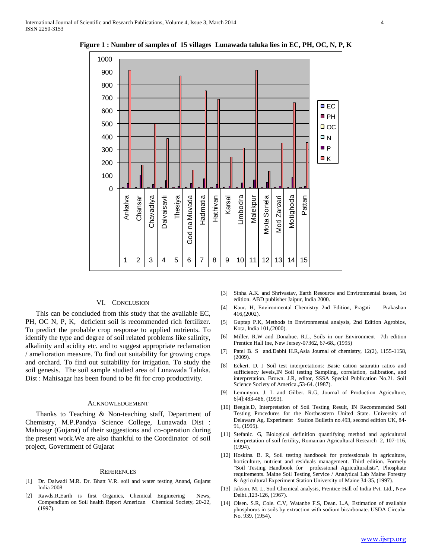

**Figure 1 : Number of samples of 15 villages Lunawada taluka lies in EC, PH, OC, N, P, K**

## VI. CONCLUSION

 This can be concluded from this study that the available EC, PH, OC N, P, K, deficient soil is recommended rich fertilizer. To predict the probable crop response to applied nutrients. To identify the type and degree of soil related problems like salinity, alkalinity and acidity etc. and to suggest appropriate reclamation / amelioration measure. To find out suitability for growing crops and orchard. To find out suitability for irrigation. To study the soil genesis. The soil sample studied area of Lunawada Taluka. Dist : Mahisagar has been found to be fit for crop productivity.

## ACKNOWLEDGEMENT

 Thanks to Teaching & Non-teaching staff, Department of Chemistry, M.P.Pandya Science College, Lunawada Dist : Mahisagr (Gujarat) of their suggestions and co-operation during the present work.We are also thankful to the Coordinator of soil project, Government of Gujarat

#### **REFERENCES**

- [1] Dr. Dalwadi M.R. Dr. Bhatt V.R. soil and water testing Anand, Gujarat India 2008
- [2] Rawds.R,Earth is first Organics, Chemical Engineering News, Compendium on Soil health Report American Chemical Society, 20-22, (1997).
- [3] Sinha A.K. and Shrivastav, Earth Resource and Environmental issues, 1st edition. ABD publisher Jaipur, India 2000.
- [4] Kaur. H, Environmental Chemistry 2nd Edition, Pragati Prakashan 416,(2002).
- [5] Guptap P.K, Methods in Environmental analysis, 2nd Edition Agrobios, Kota, India 101,(2000).
- [6] Miller. R.W and Donahue. R.L, Soils in our Environment 7th edition Prentice Hall Ine, New Jersey-07362, 67-68., (1995)
- [7] Patel B. S and.Dabhi H.R,Asia Journal of chemistry, 12(2), 1155-1158, (2009).
- [8] Eckert. D. J Soil test interpretations: Basic cation saturatin ratios and sufficiency levels,IN Soil testing Sampling, correlation, calibration, and interpretation. Brown. J.R, editor, SSSA Special Publication No.21. Soil Science Society of America.,53-64. (1987).
- [9] Lemunyon. J. L and Gilber. R.G, Journal of Production Agriculture, 6[4]:483-486, (1993).
- [10] Beegle.D, Interpretation of Soil Testing Result, IN Recommended Soil Testing Procedures for the Northeastern United State. University of Delaware Ag. Experiment Station Bulletin no.493, second edition UK, 84- 91, (1995).
- [11] Stefanic. G, Biological definition quantifying method and agricultural interpretation of soil fertility, Romanian Agricultural Research 2, 107-116, (1994).
- [12] Hoskins. B. R, Soil testing handbook for professionals in agriculture, horticulture, nutrient and residuals management. Third edition. Formely "Soil Testing Handbook for professional Agriculturalists", Phosphate requirements. Maine Soil Testing Service / Analytical Lab Maine Forestry & Agricultural Experiment Station University of Maine 34-35, (1997).
- [13] Jakson. M. L, Soil Chemical analysis, Prentice-Hall of India Pvt. Ltd., New Delhi.,123-126, (1967).
- [14] Olsen. S.R, Cole. C.V, Watanbe F.S, Dean. L.A, Estimation of available phosphorus in soils by extraction with sodium bicarbonate. USDA Circular No. 939. (1954).